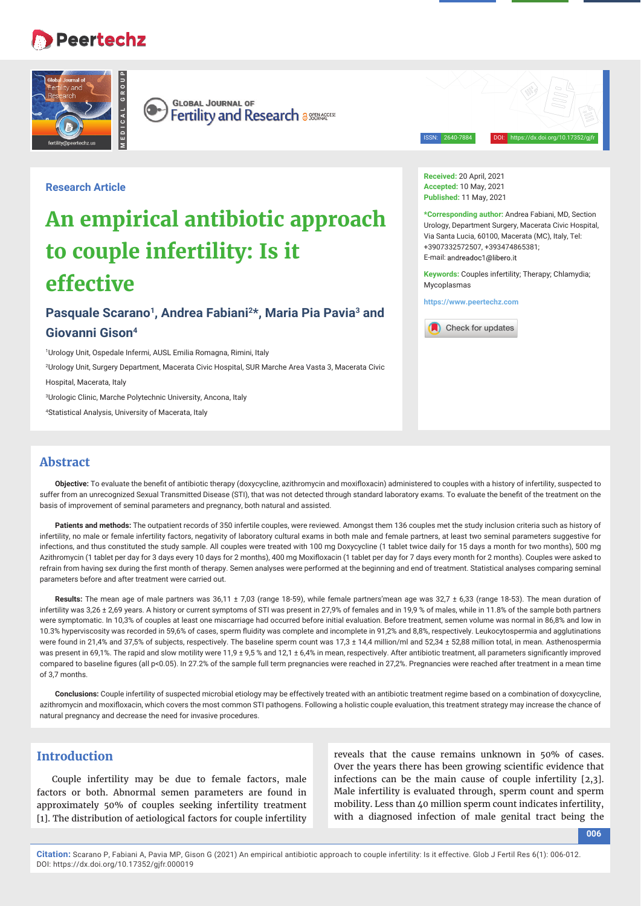## **Peertechz**



**GLOBAL JOURNAL OF**  $\bullet$ Fertility and Research assessed

ISSN: 2640-7884 DOI: https://dx.doi.org/10.17352/gjfr

## **Research Article**

# **An empirical antibiotic approach to couple infertility: Is it effective**

## Pasquale Scarano<sup>1</sup>, Andrea Fabiani<sup>2\*</sup>, Maria Pia Pavia<sup>3</sup> and **Giovanni Gison4**

1 Urology Unit, Ospedale Infermi, AUSL Emilia Romagna, Rimini, Italy

2 Urology Unit, Surgery Department, Macerata Civic Hospital, SUR Marche Area Vasta 3, Macerata Civic

Hospital, Macerata, Italy

3 Urologic Clinic, Marche Polytechnic University, Ancona, Italy

4 Statistical Analysis, University of Macerata, Italy

**Received:** 20 April, 2021 **Accepted:** 10 May, 2021 **Published:** 11 May, 2021

**\*Corresponding author:** Andrea Fabiani, MD, Section Urology, Department Surgery, Macerata Civic Hospital, Via Santa Lucia, 60100, Macerata (MC), Italy, Tel: +3907332572507, +393474865381; E-mail: andreadoc1@libero.it

**Keywords:** Couples infertility; Therapy; Chlamydia; Mycoplasmas

**https://www.peertechz.com**



## **Abstract**

Objective: To evaluate the benefit of antibiotic therapy (doxycycline, azithromycin and moxifloxacin) administered to couples with a history of infertility, suspected to suffer from an unrecognized Sexual Transmitted Disease (STI), that was not detected through standard laboratory exams. To evaluate the benefit of the treatment on the basis of improvement of seminal parameters and pregnancy, both natural and assisted.

Patients and methods: The outpatient records of 350 infertile couples, were reviewed. Amongst them 136 couples met the study inclusion criteria such as history of infertility, no male or female infertility factors, negativity of laboratory cultural exams in both male and female partners, at least two seminal parameters suggestive for infections, and thus constituted the study sample. All couples were treated with 100 mg Doxycycline (1 tablet twice daily for 15 days a month for two months), 500 mg Azithromycin (1 tablet per day for 3 days every 10 days for 2 months), 400 mg Moxifloxacin (1 tablet per day for 7 days every month for 2 months). Couples were asked to refrain from having sex during the first month of therapy. Semen analyses were performed at the beginning and end of treatment. Statistical analyses comparing seminal parameters before and after treatment were carried out.

Results: The mean age of male partners was 36,11 ± 7,03 (range 18-59), while female partners'mean age was 32,7 ± 6,33 (range 18-53). The mean duration of infertility was 3,26 ± 2,69 years. A history or current symptoms of STI was present in 27,9% of females and in 19,9 % of males, while in 11.8% of the sample both partners were symptomatic. In 10,3% of couples at least one miscarriage had occurred before initial evaluation. Before treatment, semen volume was normal in 86,8% and low in 10.3% hyperviscosity was recorded in 59,6% of cases, sperm fluidity was complete and incomplete in 91,2% and 8,8%, respectively. Leukocytospermia and agglutinations were found in 21,4% and 37,5% of subjects, respectively. The baseline sperm count was 17,3 ± 14,4 million/ml and 52,34 ± 52,88 million total, in mean. Asthenospermia was present in 69,1%. The rapid and slow motility were 11,9 ± 9,5 % and 12,1 ± 6,4% in mean, respectively. After antibiotic treatment, all parameters significantly improved compared to baseline figures (all p<0.05). In 27.2% of the sample full term pregnancies were reached in 27,2%. Pregnancies were reached after treatment in a mean time of 3,7 months.

**Conclusions:** Couple infertility of suspected microbial etiology may be effectively treated with an antibiotic treatment regime based on a combination of doxycycline, azithromycin and moxifloxacin, which covers the most common STI pathogens. Following a holistic couple evaluation, this treatment strategy may increase the chance of natural pregnancy and decrease the need for invasive procedures.

## **Introduction**

Couple infertility may be due to female factors, male factors or both. Abnormal semen parameters are found in approximately 50% of couples seeking infertility treatment [1]. The distribution of aetiological factors for couple infertility reveals that the cause remains unknown in 50% of cases. Over the years there has been growing scientific evidence that infections can be the main cause of couple infertility [2,3]. Male infertility is evaluated through, sperm count and sperm mobility. Less than 40 million sperm count indicates infertility, with a diagnosed infection of male genital tract being the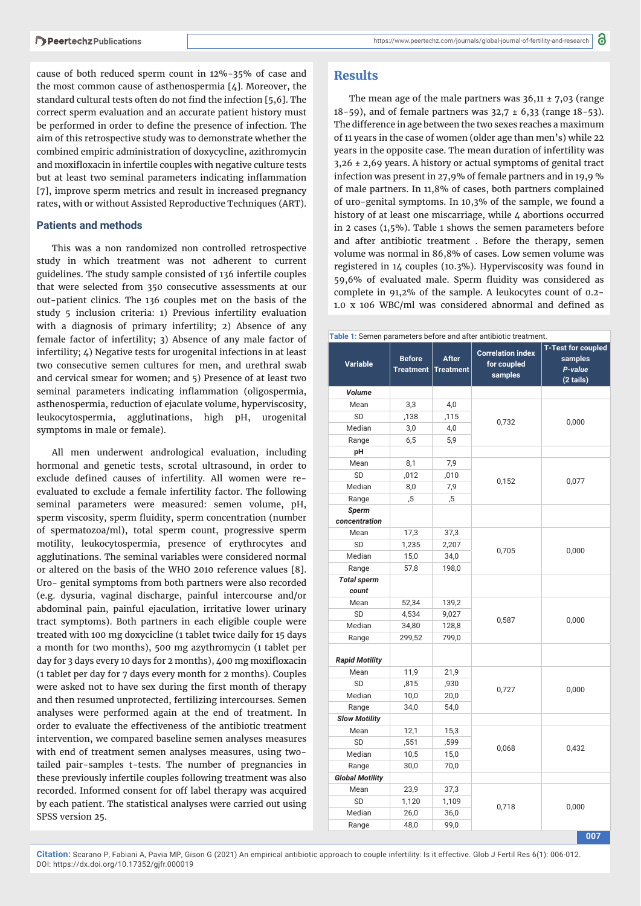cause of both reduced sperm count in 12%-35% of case and the most common cause of asthenospermia [4]. Moreover, the standard cultural tests often do not find the infection [5,6]. The correct sperm evaluation and an accurate patient history must be performed in order to define the presence of infection. The aim of this retrospective study was to demonstrate whether the combined empiric administration of doxycycline, azithromycin and moxifloxacin in infertile couples with negative culture tests but at least two seminal parameters indicating inflammation [7], improve sperm metrics and result in increased pregnancy rates, with or without Assisted Reproductive Techniques (ART).

#### **Patients and methods**

This was a non randomized non controlled retrospective study in which treatment was not adherent to current guidelines. The study sample consisted of 136 infertile couples that were selected from 350 consecutive assessments at our out-patient clinics. The 136 couples met on the basis of the study 5 inclusion criteria: 1) Previous infertility evaluation with a diagnosis of primary infertility; 2) Absence of any female factor of infertility; 3) Absence of any male factor of infertility; 4) Negative tests for urogenital infections in at least two consecutive semen cultures for men, and urethral swab and cervical smear for women; and 5) Presence of at least two seminal parameters indicating inflammation (oligospermia, asthenospermia, reduction of ejaculate volume, hyperviscosity, leukocytospermia, agglutinations, high pH, urogenital symptoms in male or female).

All men underwent andrological evaluation, including hormonal and genetic tests, scrotal ultrasound, in order to exclude defined causes of infertility. All women were reevaluated to exclude a female infertility factor. The following seminal parameters were measured: semen volume, pH, sperm viscosity, sperm fluidity, sperm concentration (number of spermatozoa/ml), total sperm count, progressive sperm motility, leukocytospermia, presence of erythrocytes and agglutinations. The seminal variables were considered normal or altered on the basis of the WHO 2010 reference values [8]. Uro- genital symptoms from both partners were also recorded (e.g. dysuria, vaginal discharge, painful intercourse and/or abdominal pain, painful ejaculation, irritative lower urinary tract symptoms). Both partners in each eligible couple were treated with 100 mg doxycicline (1 tablet twice daily for 15 days a month for two months), 500 mg azythromycin (1 tablet per day for 3 days every 10 days for 2 months), 400 mg moxifloxacin (1 tablet per day for 7 days every month for 2 months). Couples were asked not to have sex during the first month of therapy and then resumed unprotected, fertilizing intercourses. Semen analyses were performed again at the end of treatment. In order to evaluate the effectiveness of the antibiotic treatment intervention, we compared baseline semen analyses measures with end of treatment semen analyses measures, using twotailed pair-samples t-tests. The number of pregnancies in these previously infertile couples following treatment was also recorded. Informed consent for off label therapy was acquired by each patient. The statistical analyses were carried out using SPSS version 25.

### **Results**

The mean age of the male partners was  $36,11 \pm 7,03$  (range 18-59), and of female partners was  $32.7 \pm 6.33$  (range  $18-53$ ). The difference in age between the two sexes reaches a maximum of 11 years in the case of women (older age than men's) while 22 years in the opposite case. The mean duration of infertility was 3,26 ± 2,69 years. A history or actual symptoms of genital tract infection was present in 27,9% of female partners and in 19,9 % of male partners. In 11,8% of cases, both partners complained of uro-genital symptoms. In 10,3% of the sample, we found a history of at least one miscarriage, while 4 abortions occurred in 2 cases (1,5%). Table 1 shows the semen parameters before and after antibiotic treatment . Before the therapy, semen volume was normal in 86,8% of cases. Low semen volume was registered in 14 couples (10.3%). Hyperviscosity was found in 59,6% of evaluated male. Sperm fluidity was considered as complete in 91,2% of the sample. A leukocytes count of 0.2- 1.0 x 106 WBC/ml was considered abnormal and defined as

| Table 1: Semen parameters before and after antibiotic treatment. |                                   |                                  |                                                    |                                                              |  |  |  |  |  |
|------------------------------------------------------------------|-----------------------------------|----------------------------------|----------------------------------------------------|--------------------------------------------------------------|--|--|--|--|--|
| <b>Variable</b>                                                  | <b>Before</b><br><b>Treatment</b> | <b>After</b><br><b>Treatment</b> | <b>Correlation index</b><br>for coupled<br>samples | <b>T-Test for coupled</b><br>samples<br>P-value<br>(2 tails) |  |  |  |  |  |
| Volume                                                           |                                   |                                  |                                                    |                                                              |  |  |  |  |  |
| Mean                                                             | 3,3                               | 4,0                              |                                                    | 0,000                                                        |  |  |  |  |  |
| SD                                                               | ,138                              | ,115                             |                                                    |                                                              |  |  |  |  |  |
| Median                                                           | 3,0                               | 4,0                              | 0,732                                              |                                                              |  |  |  |  |  |
| Range                                                            | 6,5                               | 5,9                              |                                                    |                                                              |  |  |  |  |  |
| рH                                                               |                                   |                                  |                                                    |                                                              |  |  |  |  |  |
| Mean                                                             | 8,1                               | 7,9                              |                                                    |                                                              |  |  |  |  |  |
| SD                                                               | ,012                              | ,010                             |                                                    |                                                              |  |  |  |  |  |
| Median                                                           | 8,0                               | 7,9                              | 0,152                                              | 0,077                                                        |  |  |  |  |  |
| Range                                                            | ,5                                | ,5                               |                                                    |                                                              |  |  |  |  |  |
| Sperm                                                            |                                   |                                  |                                                    |                                                              |  |  |  |  |  |
| concentration                                                    |                                   |                                  |                                                    |                                                              |  |  |  |  |  |
| Mean                                                             | 17,3                              | 37,3                             |                                                    | 0,000                                                        |  |  |  |  |  |
| SD                                                               | 1,235                             | 2,207                            | 0,705                                              |                                                              |  |  |  |  |  |
| Median                                                           | 15,0                              | 34,0                             |                                                    |                                                              |  |  |  |  |  |
| Range                                                            | 57,8                              | 198,0                            |                                                    |                                                              |  |  |  |  |  |
| <b>Total sperm</b><br>count                                      |                                   |                                  |                                                    |                                                              |  |  |  |  |  |
| Mean                                                             | 52,34                             | 139,2                            |                                                    | 0,000                                                        |  |  |  |  |  |
| SD                                                               | 4,534                             | 9,027                            |                                                    |                                                              |  |  |  |  |  |
| Median                                                           | 34,80                             | 128,8                            | 0,587                                              |                                                              |  |  |  |  |  |
| Range                                                            | 299,52                            | 799,0                            |                                                    |                                                              |  |  |  |  |  |
| <b>Rapid Motility</b>                                            |                                   |                                  |                                                    |                                                              |  |  |  |  |  |
| Mean                                                             | 11,9                              | 21,9                             |                                                    |                                                              |  |  |  |  |  |
| SD                                                               | ,815                              | ,930                             | 0,727                                              | 0,000                                                        |  |  |  |  |  |
| Median                                                           | 10,0                              | 20,0                             |                                                    |                                                              |  |  |  |  |  |
| Range                                                            | 34,0                              | 54,0                             |                                                    |                                                              |  |  |  |  |  |
| <b>Slow Motility</b>                                             |                                   |                                  |                                                    |                                                              |  |  |  |  |  |
| Mean                                                             | 12,1                              | 15,3                             |                                                    |                                                              |  |  |  |  |  |
| SD                                                               | ,551                              | ,599                             | 0,068                                              | 0,432                                                        |  |  |  |  |  |
| Median                                                           | 10,5                              | 15,0                             |                                                    |                                                              |  |  |  |  |  |
| Range                                                            | 30,0                              | 70,0                             |                                                    |                                                              |  |  |  |  |  |
| <b>Global Motility</b>                                           |                                   |                                  |                                                    |                                                              |  |  |  |  |  |
| Mean                                                             | 23,9                              | 37,3                             |                                                    | 0,000                                                        |  |  |  |  |  |
| SD                                                               | 1,120                             | 1,109                            | 0,718                                              |                                                              |  |  |  |  |  |
| Median                                                           | 26,0                              | 36,0                             |                                                    |                                                              |  |  |  |  |  |
| Range                                                            | 48,0                              | 99,0                             |                                                    |                                                              |  |  |  |  |  |
|                                                                  |                                   |                                  |                                                    | 007                                                          |  |  |  |  |  |

**Citation:** Scarano P, Fabiani A, Pavia MP, Gison G (2021) An empirical antibiotic approach to couple infertility: Is it effective. Glob J Fertil Res 6(1): 006-012. DOI: https://dx.doi.org/10.17352/gjfr.000019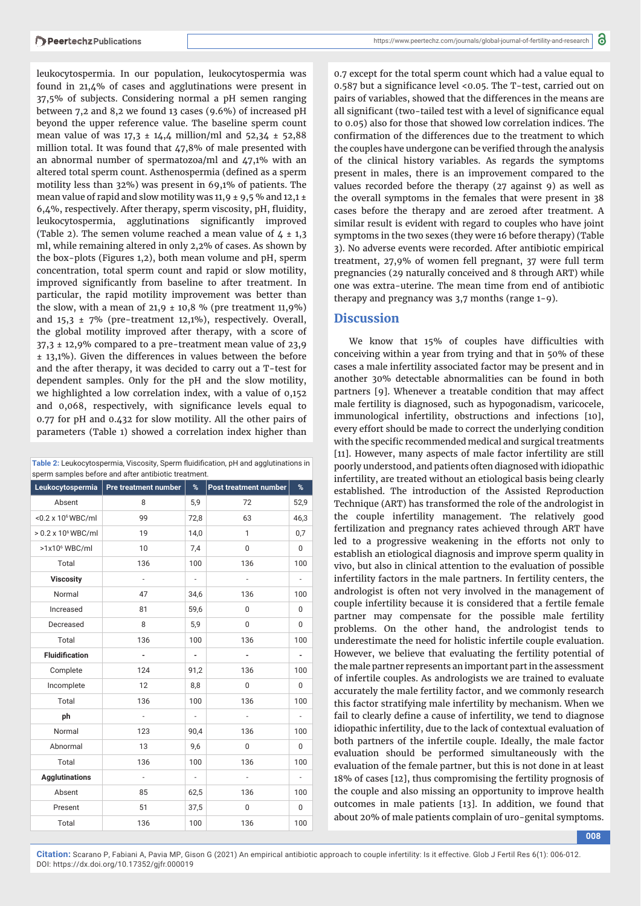leukocytospermia. In our population, leukocytospermia was found in 21,4% of cases and agglutinations were present in 37,5% of subjects. Considering normal a pH semen ranging between 7,2 and 8,2 we found 13 cases (9.6%) of increased pH beyond the upper reference value. The baseline sperm count mean value of was  $17,3 \pm 14,4$  million/ml and  $52,34 \pm 52,88$ million total. It was found that 47,8% of male presented with an abnormal number of spermatozoa/ml and 47,1% with an altered total sperm count. Asthenospermia (defined as a sperm motility less than 32%) was present in 69,1% of patients. The mean value of rapid and slow motility was 11,9  $\pm$  9,5 % and 12,1  $\pm$  $6,4%$ , respectively. After therapy, sperm viscosity, pH, fluidity, leukocytospermia, agglutinations significantly improved (Table 2). The semen volume reached a mean value of  $4 \pm 1,3$ ml, while remaining altered in only 2,2% of cases. As shown by the box-plots (Figures 1,2), both mean volume and pH, sperm concentration, total sperm count and rapid or slow motility, improved significantly from baseline to after treatment. In particular, the rapid motility improvement was better than the slow, with a mean of  $21,9 \pm 10,8$  % (pre treatment 11,9%) and  $15,3 \pm 7\%$  (pre-treatment 12,1%), respectively. Overall, the global motility improved after therapy, with a score of 37,3 ± 12,9% compared to a pre-treatment mean value of 23,9 ± 13,1%). Given the differences in values between the before and the after therapy, it was decided to carry out a T-test for dependent samples. Only for the pH and the slow motility, we highlighted a low correlation index, with a value of 0,152 and 0,068, respectively, with significance levels equal to 0.77 for pH and 0.432 for slow motility. All the other pairs of parameters (Table 1) showed a correlation index higher than

| sperm samples before and after antibiotic treatment. |                      |                          |                       |                              |  |  |  |  |
|------------------------------------------------------|----------------------|--------------------------|-----------------------|------------------------------|--|--|--|--|
| Leukocytospermia                                     | Pre treatment number | %                        | Post treatment number | %                            |  |  |  |  |
| Absent                                               | 8                    | 5,9                      | 72                    | 52,9                         |  |  |  |  |
| <0.2 x 10 <sup>6</sup> WBC/ml                        | 99                   | 72,8                     | 63                    | 46,3                         |  |  |  |  |
| $> 0.2 \times 10^6$ WBC/ml                           | 19                   | 14,0                     | $\mathbf{1}$          | 0,7                          |  |  |  |  |
| $>1x106$ WBC/ml                                      | 10                   | 7,4                      | $\mathbf 0$           | $\mathbf 0$                  |  |  |  |  |
| Total                                                | 136                  | 100                      | 136                   | 100                          |  |  |  |  |
| <b>Viscosity</b>                                     | $\frac{1}{2}$        | $\overline{\phantom{a}}$ | $\frac{1}{2}$         | $\overline{\phantom{a}}$     |  |  |  |  |
| Normal                                               | 47                   | 34,6                     | 136                   | 100                          |  |  |  |  |
| Increased                                            | 81                   | 59,6                     | 0                     | 0                            |  |  |  |  |
| Decreased                                            | 8                    | 5,9                      | $\mathbf 0$           | $\mathbf 0$                  |  |  |  |  |
| Total                                                | 136                  | 100                      | 136                   | 100                          |  |  |  |  |
| <b>Fluidification</b>                                | $\frac{1}{2}$        | -                        | ٠                     | $\qquad \qquad \blacksquare$ |  |  |  |  |
| Complete                                             | 124                  | 91,2                     | 136                   | 100                          |  |  |  |  |
| Incomplete                                           | 12                   | 8,8                      | $\mathbf 0$           | $\mathbf 0$                  |  |  |  |  |
| Total                                                | 136                  | 100                      | 136                   | 100                          |  |  |  |  |
| ph                                                   | $\frac{1}{2}$        | $\overline{\phantom{a}}$ | $\frac{1}{2}$         |                              |  |  |  |  |
| Normal                                               | 123                  | 90,4                     | 136                   | 100                          |  |  |  |  |
| Abnormal                                             | 13                   | 9,6                      | $\mathbf 0$           | $\mathbf 0$                  |  |  |  |  |
| Total                                                | 136                  | 100                      | 136                   | 100                          |  |  |  |  |
| <b>Agglutinations</b>                                | $\overline{a}$       | $\overline{\phantom{a}}$ | $\overline{a}$        | $\overline{a}$               |  |  |  |  |
| Absent                                               | 85                   | 62,5                     | 136                   | 100                          |  |  |  |  |
| Present                                              | 51                   | 37,5                     | 0                     | 0                            |  |  |  |  |
| Total                                                | 136                  | 100                      | 136                   | 100                          |  |  |  |  |

Table 2: Leukocytospermia, Viscosity, Sperm fluidification, pH and agglutinations in sperm samples before and after antibiotic treatment.

0.7 except for the total sperm count which had a value equal to 0.587 but a significance level <0.05. The T-test, carried out on pairs of variables, showed that the differences in the means are all significant (two-tailed test with a level of significance equal to 0.05) also for those that showed low correlation indices. The confirmation of the differences due to the treatment to which the couples have undergone can be verified through the analysis of the clinical history variables. As regards the symptoms present in males, there is an improvement compared to the values recorded before the therapy (27 against 9) as well as the overall symptoms in the females that were present in 38 cases before the therapy and are zeroed after treatment. A similar result is evident with regard to couples who have joint symptoms in the two sexes (they were 16 before therapy) (Table 3). No adverse events were recorded. After antibiotic empirical treatment, 27,9% of women fell pregnant, 37 were full term pregnancies (29 naturally conceived and 8 through ART) while one was extra-uterine. The mean time from end of antibiotic therapy and pregnancy was 3,7 months (range 1-9).

### **Discussion**

We know that 15% of couples have difficulties with conceiving within a year from trying and that in 50% of these cases a male infertility associated factor may be present and in another 30% detectable abnormalities can be found in both partners [9]. Whenever a treatable condition that may affect male fertility is diagnosed, such as hypogonadism, varicocele, immunological infertility, obstructions and infections [10], every effort should be made to correct the underlying condition with the specific recommended medical and surgical treatments [11]. However, many aspects of male factor infertility are still poorly understood, and patients often diagnosed with idiopathic infertility, are treated without an etiological basis being clearly established. The introduction of the Assisted Reproduction Technique (ART) has transformed the role of the andrologist in the couple infertility management. The relatively good fertilization and pregnancy rates achieved through ART have led to a progressive weakening in the efforts not only to establish an etiological diagnosis and improve sperm quality in vivo, but also in clinical attention to the evaluation of possible infertility factors in the male partners. In fertility centers, the andrologist is often not very involved in the management of couple infertility because it is considered that a fertile female partner may compensate for the possible male fertility problems. On the other hand, the andrologist tends to underestimate the need for holistic infertile couple evaluation. However, we believe that evaluating the fertility potential of the male partner represents an important part in the assessment of infertile couples. As andrologists we are trained to evaluate accurately the male fertility factor, and we commonly research this factor stratifying male infertility by mechanism. When we fail to clearly define a cause of infertility, we tend to diagnose idiopathic infertility, due to the lack of contextual evaluation of both partners of the infertile couple. Ideally, the male factor evaluation should be performed simultaneously with the evaluation of the female partner, but this is not done in at least 18% of cases [12], thus compromising the fertility prognosis of the couple and also missing an opportunity to improve health outcomes in male patients [13]. In addition, we found that about 20% of male patients complain of uro-genital symptoms.

**Citation:** Scarano P, Fabiani A, Pavia MP, Gison G (2021) An empirical antibiotic approach to couple infertility: Is it effective. Glob J Fertil Res 6(1): 006-012. DOI: https://dx.doi.org/10.17352/gjfr.000019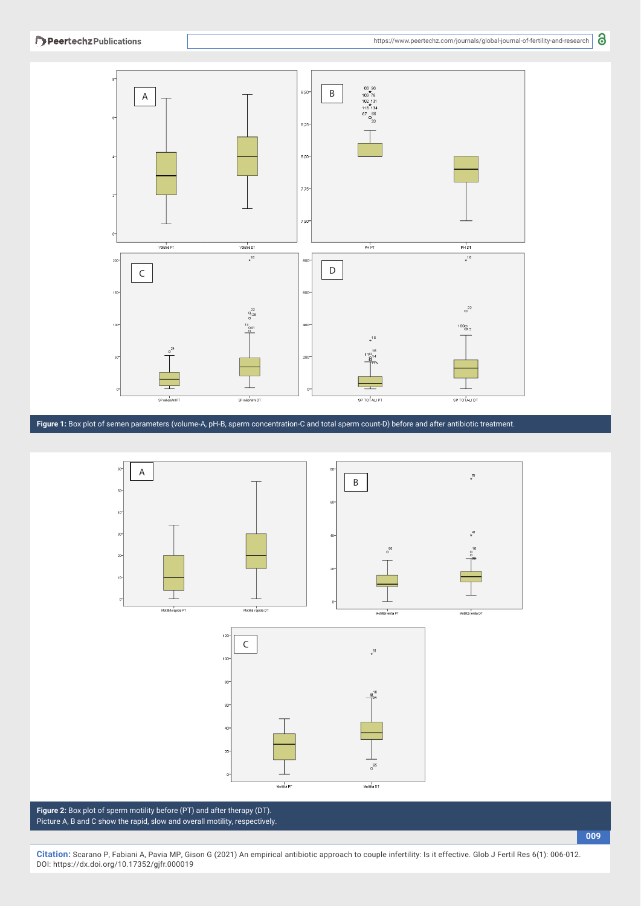

**Figure 1:** Box plot of semen parameters (volume-A, pH-B, sperm concentration-C and total sperm count-D) before and after antibiotic treatment.



**Figure 2:** Box plot of sperm motility before (PT) and after therapy (DT). Picture A, B and C show the rapid, slow and overall motility, respectively.

**Citation:** Scarano P, Fabiani A, Pavia MP, Gison G (2021) An empirical antibiotic approach to couple infertility: Is it effective. Glob J Fertil Res 6(1): 006-012. DOI: https://dx.doi.org/10.17352/gjfr.000019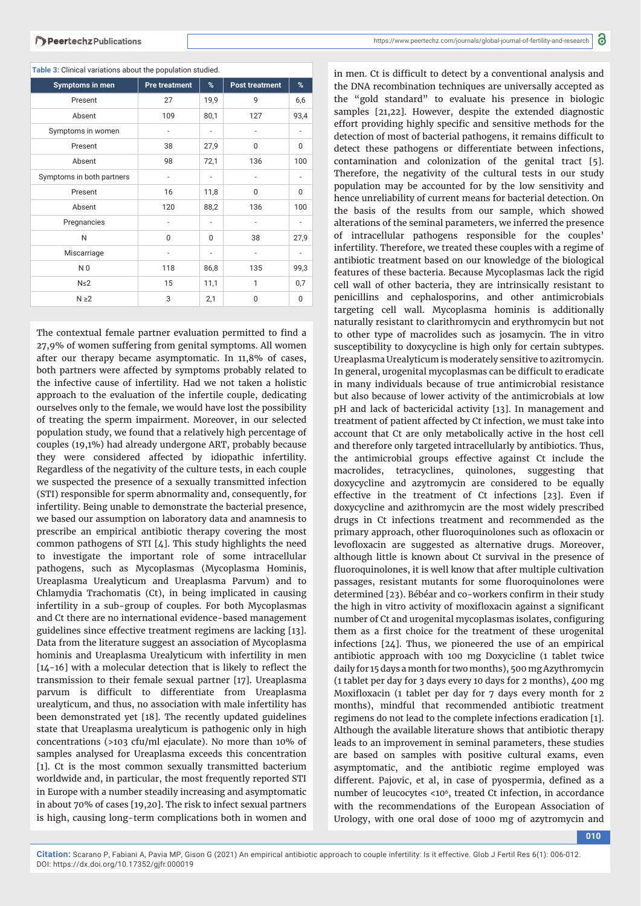| <b>Symptoms in men</b>    | <b>Pre treatment</b>         | %                        | <b>Post treatment</b>    | %                        |  |  |  |  |  |
|---------------------------|------------------------------|--------------------------|--------------------------|--------------------------|--|--|--|--|--|
| Present                   | 27                           | 19,9                     | q                        | 6,6                      |  |  |  |  |  |
| Absent                    | 109                          | 80,1                     | 127                      | 93,4                     |  |  |  |  |  |
| Symptoms in women         | $\qquad \qquad \blacksquare$ | $\overline{\phantom{a}}$ | $\overline{\phantom{a}}$ | $\overline{\phantom{a}}$ |  |  |  |  |  |
| Present                   | 38                           | 27,9                     | 0                        | $\Omega$                 |  |  |  |  |  |
| Absent                    | 98                           | 72,1                     | 136                      | 100                      |  |  |  |  |  |
| Symptoms in both partners | $\overline{\phantom{0}}$     | ٠                        | $\overline{a}$           | -                        |  |  |  |  |  |
| Present                   | 16                           | 11,8                     | 0                        | $\mathbf{0}$             |  |  |  |  |  |
| Absent                    | 120                          | 88,2                     | 136                      | 100                      |  |  |  |  |  |
| Pregnancies               |                              |                          |                          |                          |  |  |  |  |  |
| N                         | $\Omega$                     | 0                        | 38                       | 27,9                     |  |  |  |  |  |
| Miscarriage               | ٠                            |                          | $\overline{a}$           | ٠                        |  |  |  |  |  |
| N <sub>0</sub>            | 118                          | 86,8                     | 135                      | 99,3                     |  |  |  |  |  |
| $N \leq 2$                | 15                           | 11,1                     | 1                        | 0,7                      |  |  |  |  |  |
| $N \geq 2$                | 3                            | 2,1                      | 0                        | $\Omega$                 |  |  |  |  |  |

**Table 3:** Clinical variations about the population studied.

The contextual female partner evaluation permitted to find a 27,9% of women suffering from genital symptoms. All women after our therapy became asymptomatic. In 11,8% of cases, both partners were affected by symptoms probably related to the infective cause of infertility. Had we not taken a holistic approach to the evaluation of the infertile couple, dedicating ourselves only to the female, we would have lost the possibility of treating the sperm impairment. Moreover, in our selected population study, we found that a relatively high percentage of couples (19,1%) had already undergone ART, probably because they were considered affected by idiopathic infertility. Regardless of the negativity of the culture tests, in each couple we suspected the presence of a sexually transmitted infection (STI) responsible for sperm abnormality and, consequently, for infertility. Being unable to demonstrate the bacterial presence, we based our assumption on laboratory data and anamnesis to prescribe an empirical antibiotic therapy covering the most common pathogens of STI [4]. This study highlights the need to investigate the important role of some intracellular pathogens, such as Mycoplasmas (Mycoplasma Hominis, Ureaplasma Urealyticum and Ureaplasma Parvum) and to Chlamydia Trachomatis (Ct), in being implicated in causing infertility in a sub-group of couples. For both Mycoplasmas and Ct there are no international evidence-based management guidelines since effective treatment regimens are lacking [13]. Data from the literature suggest an association of Mycoplasma hominis and Ureaplasma Urealyticum with infertility in men  $[14-16]$  with a molecular detection that is likely to reflect the transmission to their female sexual partner [17]. Ureaplasma parvum is difficult to differentiate from Ureaplasma urealyticum, and thus, no association with male infertility has been demonstrated yet [18]. The recently updated guidelines state that Ureaplasma urealyticum is pathogenic only in high concentrations (>103 cfu/ml ejaculate). No more than 10% of samples analysed for Ureaplasma exceeds this concentration [1]. Ct is the most common sexually transmitted bacterium worldwide and, in particular, the most frequently reported STI in Europe with a number steadily increasing and asymptomatic in about 70% of cases [19,20]. The risk to infect sexual partners is high, causing long-term complications both in women and

in men. Ct is difficult to detect by a conventional analysis and the DNA recombination techniques are universally accepted as the "gold standard" to evaluate his presence in biologic samples [21,22]. However, despite the extended diagnostic effort providing highly specific and sensitive methods for the detection of most of bacterial pathogens, it remains difficult to detect these pathogens or differentiate between infections, contamination and colonization of the genital tract [5]. Therefore, the negativity of the cultural tests in our study population may be accounted for by the low sensitivity and hence unreliability of current means for bacterial detection. On the basis of the results from our sample, which showed alterations of the seminal parameters, we inferred the presence of intracellular pathogens responsible for the couples' infertility. Therefore, we treated these couples with a regime of antibiotic treatment based on our knowledge of the biological features of these bacteria. Because Mycoplasmas lack the rigid cell wall of other bacteria, they are intrinsically resistant to penicillins and cephalosporins, and other antimicrobials targeting cell wall. Mycoplasma hominis is additionally naturally resistant to clarithromycin and erythromycin but not to other type of macrolides such as josamycin. The in vitro susceptibility to doxycycline is high only for certain subtypes. Ureaplasma Urealyticum is moderately sensitive to azitromycin. In general, urogenital mycoplasmas can be difficult to eradicate in many individuals because of true antimicrobial resistance but also because of lower activity of the antimicrobials at low pH and lack of bactericidal activity [13]. In management and treatment of patient affected by Ct infection, we must take into account that Ct are only metabolically active in the host cell and therefore only targeted intracellularly by antibiotics. Thus, the antimicrobial groups effective against Ct include the macrolides, tetracyclines, quinolones, suggesting that doxycycline and azytromycin are considered to be equally effective in the treatment of Ct infections [23]. Even if doxycycline and azithromycin are the most widely prescribed drugs in Ct infections treatment and recommended as the primary approach, other fluoroquinolones such as ofloxacin or levofloxacin are suggested as alternative drugs. Moreover, although little is known about Ct survival in the presence of fluoroquinolones, it is well know that after multiple cultivation passages, resistant mutants for some fluoroquinolones were determined [23). Bébéar and co-workers confirm in their study the high in vitro activity of moxifloxacin against a significant number of Ct and urogenital mycoplasmas isolates, configuring them as a first choice for the treatment of these urogenital infections [24]. Thus, we pioneered the use of an empirical antibiotic approach with 100 mg Doxycicline (1 tablet twice daily for 15 days a month for two months), 500 mg Azythromycin (1 tablet per day for 3 days every 10 days for 2 months), 400 mg Moxifloxacin (1 tablet per day for 7 days every month for 2 months), mindful that recommended antibiotic treatment regimens do not lead to the complete infections eradication [1]. Although the available literature shows that antibiotic therapy leads to an improvement in seminal parameters, these studies are based on samples with positive cultural exams, even asymptomatic, and the antibiotic regime employed was different. Pajovic, et al, in case of pyospermia, defined as a number of leucocytes <106, treated Ct infection, in accordance with the recommendations of the European Association of Urology, with one oral dose of 1000 mg of azytromycin and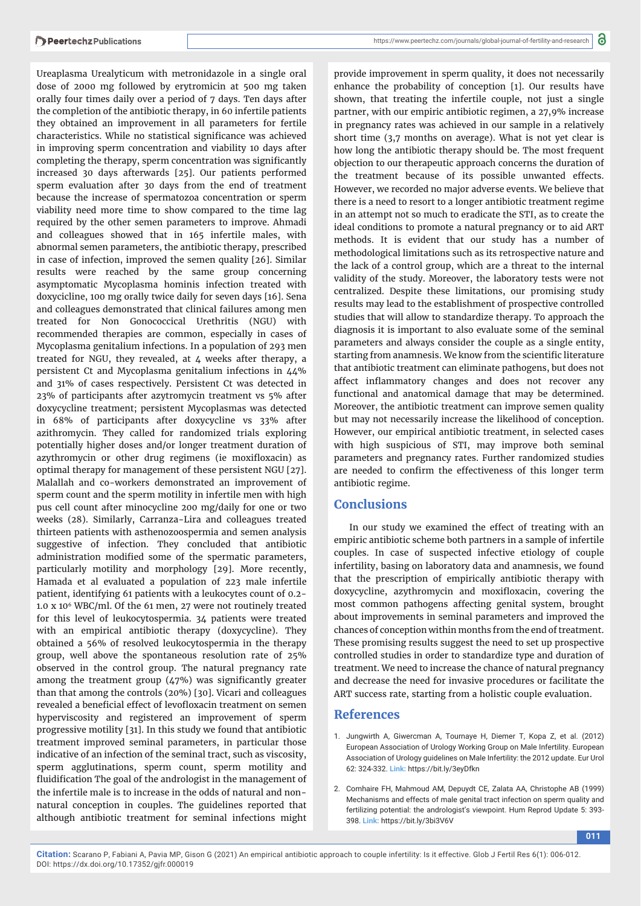Ureaplasma Urealyticum with metronidazole in a single oral dose of 2000 mg followed by erytromicin at 500 mg taken orally four times daily over a period of 7 days. Ten days after the completion of the antibiotic therapy, in 60 infertile patients they obtained an improvement in all parameters for fertile characteristics. While no statistical significance was achieved in improving sperm concentration and viability 10 days after completing the therapy, sperm concentration was significantly increased 30 days afterwards [25]. Our patients performed sperm evaluation after 30 days from the end of treatment because the increase of spermatozoa concentration or sperm viability need more time to show compared to the time lag required by the other semen parameters to improve. Ahmadi and colleagues showed that in 165 infertile males, with abnormal semen parameters, the antibiotic therapy, prescribed in case of infection, improved the semen quality [26]. Similar results were reached by the same group concerning asymptomatic Mycoplasma hominis infection treated with doxycicline, 100 mg orally twice daily for seven days [16]. Sena and colleagues demonstrated that clinical failures among men treated for Non Gonococcical Urethritis (NGU) with recommended therapies are common, especially in cases of Mycoplasma genitalium infections. In a population of 293 men treated for NGU, they revealed, at 4 weeks after therapy, a persistent Ct and Mycoplasma genitalium infections in 44% and 31% of cases respectively. Persistent Ct was detected in 23% of participants after azytromycin treatment vs 5% after doxycycline treatment; persistent Mycoplasmas was detected in 68% of participants after doxycycline vs 33% after azithromycin. They called for randomized trials exploring potentially higher doses and/or longer treatment duration of azythromycin or other drug regimens (ie moxifloxacin) as optimal therapy for management of these persistent NGU [27]. Malallah and co-workers demonstrated an improvement of sperm count and the sperm motility in infertile men with high pus cell count after minocycline 200 mg/daily for one or two weeks (28). Similarly, Carranza-Lira and colleagues treated thirteen patients with asthenozoospermia and semen analysis suggestive of infection. They concluded that antibiotic administration modified some of the spermatic parameters, particularly motility and morphology [29]. More recently, Hamada et al evaluated a population of 223 male infertile patient, identifying 61 patients with a leukocytes count of 0.2- 1.0 x 106 WBC/ml. Of the 61 men, 27 were not routinely treated for this level of leukocytospermia. 34 patients were treated with an empirical antibiotic therapy (doxycycline). They obtained a 56% of resolved leukocytospermia in the therapy group, well above the spontaneous resolution rate of 25% observed in the control group. The natural pregnancy rate among the treatment group  $(47%)$  was significantly greater than that among the controls (20%) [30]. Vicari and colleagues revealed a beneficial effect of levofloxacin treatment on semen hyperviscosity and registered an improvement of sperm progressive motility [31]. In this study we found that antibiotic treatment improved seminal parameters, in particular those indicative of an infection of the seminal tract, such as viscosity, sperm agglutinations, sperm count, sperm motility and fluidification The goal of the andrologist in the management of the infertile male is to increase in the odds of natural and nonnatural conception in couples. The guidelines reported that although antibiotic treatment for seminal infections might provide improvement in sperm quality, it does not necessarily enhance the probability of conception [1]. Our results have shown, that treating the infertile couple, not just a single partner, with our empiric antibiotic regimen, a 27,9% increase in pregnancy rates was achieved in our sample in a relatively short time (3,7 months on average). What is not yet clear is how long the antibiotic therapy should be. The most frequent objection to our therapeutic approach concerns the duration of the treatment because of its possible unwanted effects. However, we recorded no major adverse events. We believe that there is a need to resort to a longer antibiotic treatment regime in an attempt not so much to eradicate the STI, as to create the ideal conditions to promote a natural pregnancy or to aid ART methods. It is evident that our study has a number of methodological limitations such as its retrospective nature and the lack of a control group, which are a threat to the internal validity of the study. Moreover, the laboratory tests were not centralized. Despite these limitations, our promising study results may lead to the establishment of prospective controlled studies that will allow to standardize therapy. To approach the diagnosis it is important to also evaluate some of the seminal parameters and always consider the couple as a single entity, starting from anamnesis. We know from the scientific literature that antibiotic treatment can eliminate pathogens, but does not affect inflammatory changes and does not recover any functional and anatomical damage that may be determined. Moreover, the antibiotic treatment can improve semen quality but may not necessarily increase the likelihood of conception. However, our empirical antibiotic treatment, in selected cases with high suspicious of STI, may improve both seminal parameters and pregnancy rates. Further randomized studies are needed to confirm the effectiveness of this longer term antibiotic regime.

## **Conclusions**

In our study we examined the effect of treating with an empiric antibiotic scheme both partners in a sample of infertile couples. In case of suspected infective etiology of couple infertility, basing on laboratory data and anamnesis, we found that the prescription of empirically antibiotic therapy with doxycycline, azythromycin and moxifloxacin, covering the most common pathogens affecting genital system, brought about improvements in seminal parameters and improved the chances of conception within months from the end of treatment. These promising results suggest the need to set up prospective controlled studies in order to standardize type and duration of treatment. We need to increase the chance of natural pregnancy and decrease the need for invasive procedures or facilitate the ART success rate, starting from a holistic couple evaluation.

## **References**

- 1. Jungwirth A, Giwercman A, Tournaye H, Diemer T, Kopa Z, et al. (2012) European Association of Urology Working Group on Male Infertility. European Association of Urology guidelines on Male Infertility: the 2012 update. Eur Urol 62: 324-332. **Link:** https://bit.ly/3eyDfkn
- 2. Comhaire FH, Mahmoud AM, Depuydt CE, Zalata AA, Christophe AB (1999) Mechanisms and effects of male genital tract infection on sperm quality and fertilizing potential: the andrologist's viewpoint. Hum Reprod Update 5: 393- 398. **Link:** https://bit.ly/3bi3V6V